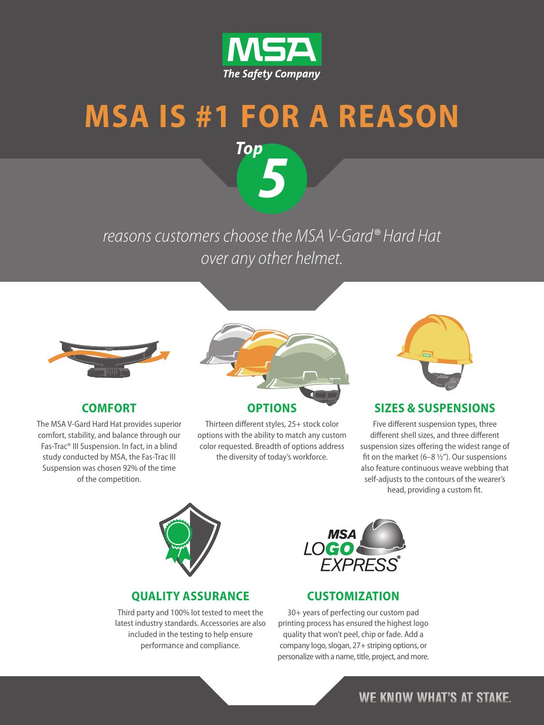

# **MSA IS #1 FOR A REASON**

*5*

*Top*

### reasons customers choose the MSA V-Gard® Hard Hat over any other helmet.



#### **COMFORT**

The MSA V-Gard Hard Hat provides superior comfort, stability, and balance through our Fas-Trac® III Suspension. In fact, in a blind study conducted by MSA, the Fas-Trac III Suspension was chosen 92% of the time of the competition.



Thirteen different styles, 25+ stock color

options with the ability to match any custom color requested. Breadth of options address the diversity of today's workforce.



#### **SIZES & SUSPENSIONS**

Five different suspension types, three different shell sizes, and three different suspension sizes offering the widest range of fit on the market (6–8 ½"). Our suspensions also feature continuous weave webbing that self-adjusts to the contours of the wearer's head, providing a custom fit.



#### **QUALITY ASSURANCE**

Third party and 100% lot tested to meet the latest industry standards. Accessories are also included in the testing to help ensure performance and compliance.



#### **CUSTOMIZATION**

30+ years of perfecting our custom pad printing process has ensured the highest logo quality that won't peel, chip or fade. Add a company logo, slogan, 27+ striping options, or personalize with a name, title, project, and more.

### **WE KNOW WHAT'S AT STAKE.**